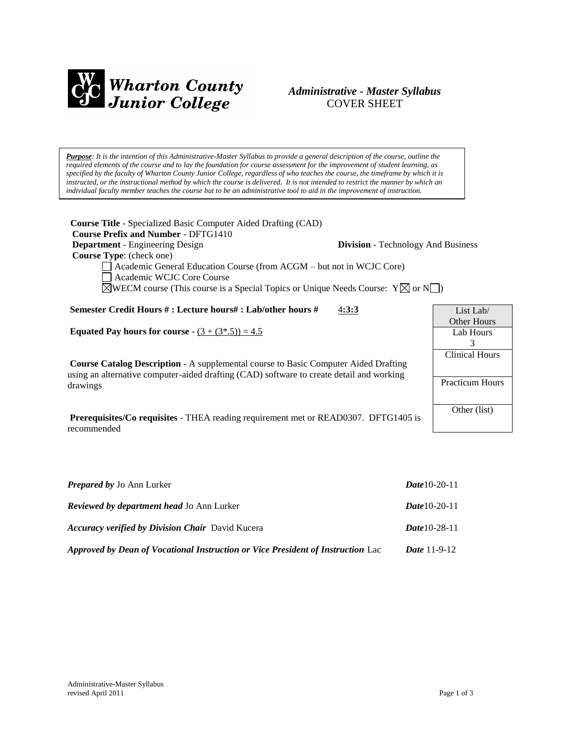

# *Administrative - Master Syllabus*  COVER SHEET

*Purpose: It is the intention of this Administrative-Master Syllabus to provide a general description of the course, outline the required elements of the course and to lay the foundation for course assessment for the improvement of student learning, as specified by the faculty of Wharton County Junior College, regardless of who teaches the course, the timeframe by which it is instructed, or the instructional method by which the course is delivered. It is not intended to restrict the manner by which an individual faculty member teaches the course but to be an administrative tool to aid in the improvement of instruction.*

**Course Title** - Specialized Basic Computer Aided Drafting (CAD)  **Course Prefix and Number** - DFTG1410 **Department** - Engineering Design **Division** - Technology And Business  **Course Type**: (check one) Academic General Education Course (from ACGM – but not in WCJC Core) Academic WCJC Core Course  $\boxtimes$ WECM course (This course is a Special Topics or Unique Needs Course: Y $\boxtimes$  or N $\Box$ ) **Semester Credit Hours # : Lecture hours# : Lab/other hours #** 4**:3:3 Equated Pay hours for course** -  $(3 + (3*, 5)) = 4.5$ **Course Catalog Description** - A supplemental course to Basic Computer Aided Drafting using an alternative computer-aided drafting (CAD) software to create detail and working drawings **Prerequisites/Co requisites** - THEA reading requirement met or READ0307. DFTG1405 is recommended List Lab/ Other Hours Lab Hours 3 Clinical Hours Practicum Hours Other (list)

| <b>Prepared by Jo Ann Lurker</b>                                                | <b>Date</b> 10-20-11  |
|---------------------------------------------------------------------------------|-----------------------|
| <b>Reviewed by department head Jo Ann Lurker</b>                                | <b>Date</b> 10-20-11  |
| <b>Accuracy verified by Division Chair</b> David Kucera                         | <b>Date</b> 10-28-11  |
| Approved by Dean of Vocational Instruction or Vice President of Instruction Lac | <i>Date</i> $11-9-12$ |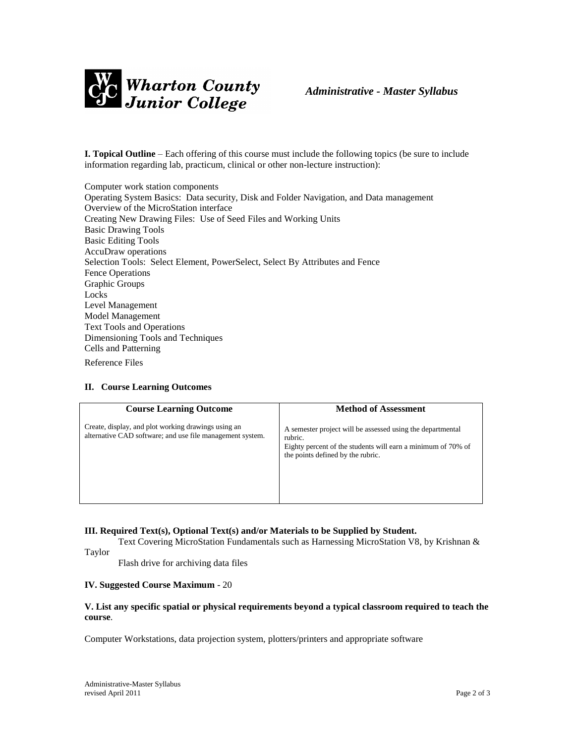

**I. Topical Outline** – Each offering of this course must include the following topics (be sure to include information regarding lab, practicum, clinical or other non-lecture instruction):

Computer work station components Operating System Basics: Data security, Disk and Folder Navigation, and Data management Overview of the MicroStation interface Creating New Drawing Files: Use of Seed Files and Working Units Basic Drawing Tools Basic Editing Tools AccuDraw operations Selection Tools: Select Element, PowerSelect, Select By Attributes and Fence Fence Operations Graphic Groups Locks Level Management Model Management Text Tools and Operations Dimensioning Tools and Techniques Cells and Patterning Reference Files

#### **II. Course Learning Outcomes**

| <b>Course Learning Outcome</b>                                                                                   | <b>Method of Assessment</b>                                                                                                                                                |
|------------------------------------------------------------------------------------------------------------------|----------------------------------------------------------------------------------------------------------------------------------------------------------------------------|
| Create, display, and plot working drawings using an<br>alternative CAD software; and use file management system. | A semester project will be assessed using the departmental<br>rubric.<br>Eighty percent of the students will earn a minimum of 70% of<br>the points defined by the rubric. |

#### **III. Required Text(s), Optional Text(s) and/or Materials to be Supplied by Student.**

Text Covering MicroStation Fundamentals such as Harnessing MicroStation V8, by Krishnan & Taylor

Flash drive for archiving data files

#### **IV. Suggested Course Maximum** - 20

#### **V. List any specific spatial or physical requirements beyond a typical classroom required to teach the course**.

Computer Workstations, data projection system, plotters/printers and appropriate software